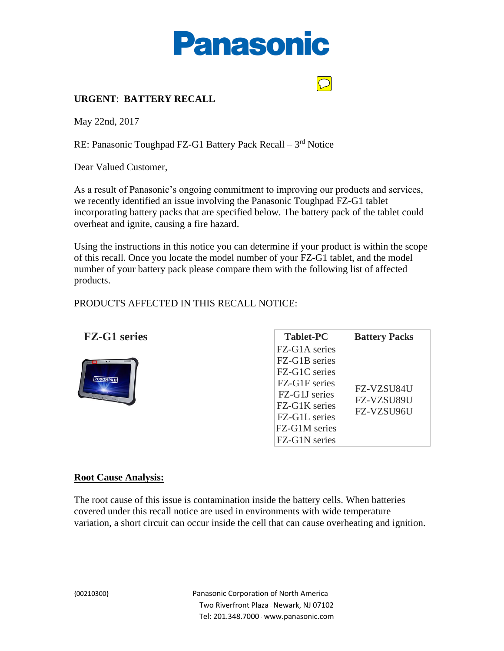



## **URGENT**: **BATTERY RECALL**

May 22nd, 2017

RE: Panasonic Toughpad FZ-G1 Battery Pack Recall - 3rd Notice

Dear Valued Customer,

As a result of Panasonic's ongoing commitment to improving our products and services, we recently identified an issue involving the Panasonic Toughpad FZ-G1 tablet incorporating battery packs that are specified below. The battery pack of the tablet could overheat and ignite, causing a fire hazard.

Using the instructions in this notice you can determine if your product is within the scope of this recall. Once you locate the model number of your FZ-G1 tablet, and the model number of your battery pack please compare them with the following list of affected products.

### PRODUCTS AFFECTED IN THIS RECALL NOTICE:

|  | <b>FZ-G1 series</b> |
|--|---------------------|
|  |                     |



| <b>Tablet-PC</b>                                | <b>Battery Packs</b>                          |               |  |
|-------------------------------------------------|-----------------------------------------------|---------------|--|
| FZ-G1A series                                   |                                               |               |  |
| FZ-G1B series                                   |                                               |               |  |
| FZ-G1C series                                   |                                               |               |  |
| FZ-G1F series<br>FZ-G1J series<br>FZ-G1K series | FZ-VZSU84U<br>FZ-VZSU89U<br><b>FZ-VZSU96U</b> |               |  |
|                                                 |                                               | FZ-G1L series |  |
|                                                 |                                               | FZ-G1M series |  |
| FZ-G1N series                                   |                                               |               |  |

#### **Root Cause Analysis:**

The root cause of this issue is contamination inside the battery cells. When batteries covered under this recall notice are used in environments with wide temperature variation, a short circuit can occur inside the cell that can cause overheating and ignition.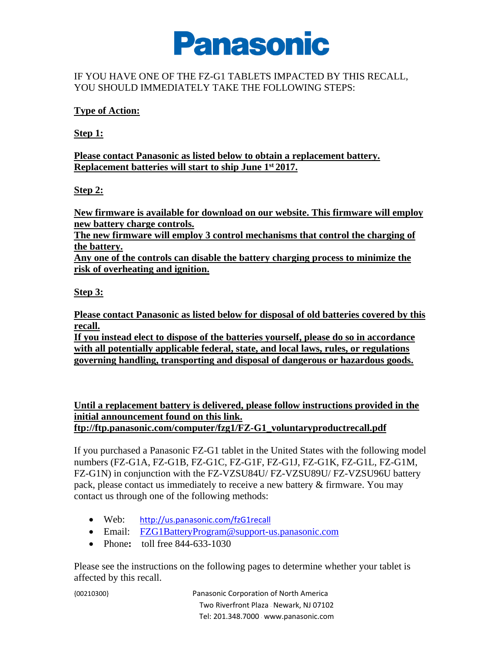

# IF YOU HAVE ONE OF THE FZ-G1 TABLETS IMPACTED BY THIS RECALL, YOU SHOULD IMMEDIATELY TAKE THE FOLLOWING STEPS:

## **Type of Action:**

**Step 1:**

**Please contact Panasonic as listed below to obtain a replacement battery. Replacement batteries will start to ship June 1st 2017.**

# **Step 2:**

**New firmware is available for download on our website. This firmware will employ new battery charge controls.**

**The new firmware will employ 3 control mechanisms that control the charging of the battery.**

**Any one of the controls can disable the battery charging process to minimize the risk of overheating and ignition.**

# **Step 3:**

**Please contact Panasonic as listed below for disposal of old batteries covered by this recall.**

**If you instead elect to dispose of the batteries yourself, please do so in accordance with all potentially applicable federal, state, and local laws, rules, or regulations governing handling, transporting and disposal of dangerous or hazardous goods.**

**Until a replacement battery is delivered, please follow instructions provided in the initial announcement found on this link. ftp://ftp.panasonic.com/computer/fzg1/FZ-G1\_voluntaryproductrecall.pdf**

If you purchased a Panasonic FZ-G1 tablet in the United States with the following model numbers (FZ-G1A, FZ-G1B, FZ-G1C, FZ-G1F, FZ-G1J, FZ-G1K, FZ-G1L, FZ-G1M, FZ-G1N) in conjunction with the FZ-VZSU84U/ FZ-VZSU89U/ FZ-VZSU96U battery pack, please contact us immediately to receive a new battery & firmware. You may contact us through one of the following methods:

- Web: <http://us.panasonic.com/fzG1recall>
- Email: [FZG1BatteryProgram@support-us.panasonic.com](mailto:FZG1BatteryProgram@support-us.panasonic.com)
- Phone: **toll** free 844-633-1030

Please see the instructions on the following pages to determine whether your tablet is affected by this recall.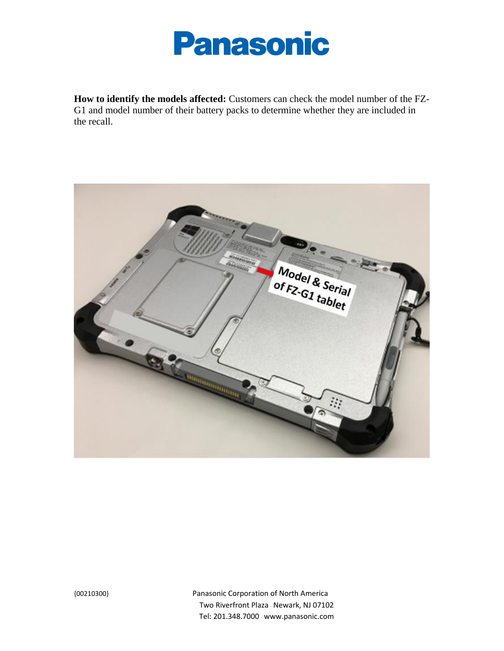

**How to identify the models affected:** Customers can check the model number of the FZ-G1 and model number of their battery packs to determine whether they are included in the recall.

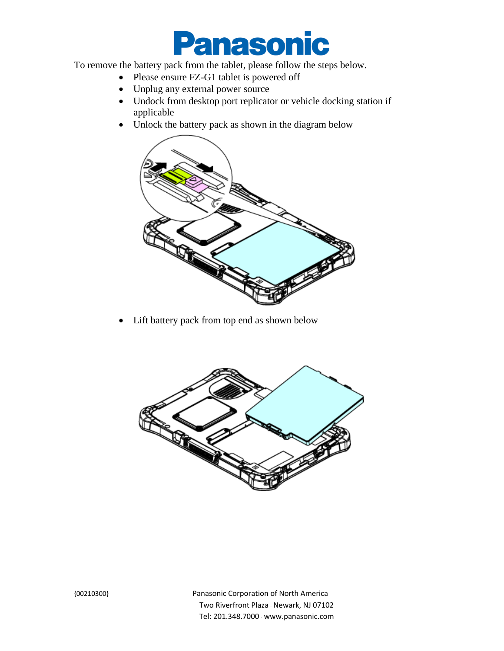

To remove the battery pack from the tablet, please follow the steps below.

- Please ensure FZ-G1 tablet is powered off
- Unplug any external power source
- Undock from desktop port replicator or vehicle docking station if applicable
- Unlock the battery pack as shown in the diagram below



• Lift battery pack from top end as shown below

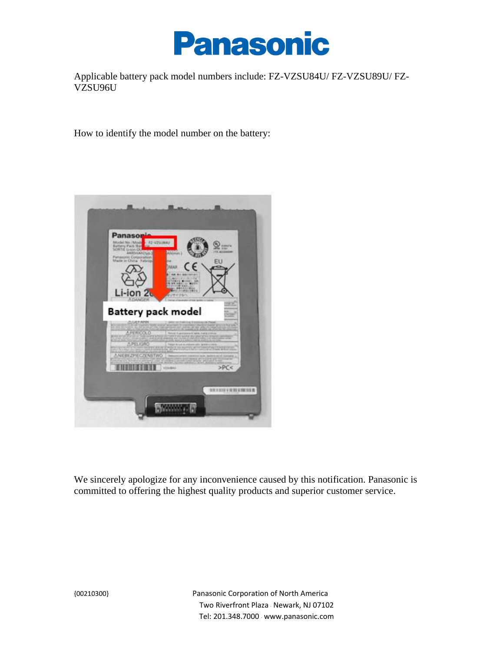

Applicable battery pack model numbers include: FZ-VZSU84U/ FZ-VZSU89U/ FZ-VZSU96U

How to identify the model number on the battery:



We sincerely apologize for any inconvenience caused by this notification. Panasonic is committed to offering the highest quality products and superior customer service.